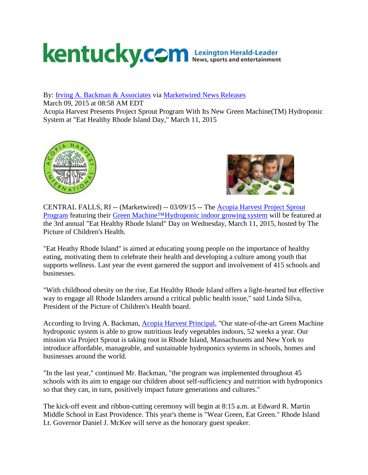## kentucky.com Lexington Herald-Leader

By: [Irving A. Backman & Associates](http://markets.financialcontent.com/mi.kentucky/news/releasedby?ReleasedBy=Irving+A.+Backman+%26+Associates) via [Marketwired News Releases](http://markets.financialcontent.com/mi.kentucky/news/channelinfo?ChannelID=3198)

March 09, 2015 at 08:58 AM EDT

Acopia Harvest Presents Project Sprout Program With Its New Green Machine(TM) Hydroponic System at "Eat Healthy Rhode Island Day," March 11, 2015





CENTRAL FALLS, RI -- (Marketwired) -- 03/09/15 -- The [Acopia Harvest Project Sprout](http://acopiaharvest.com/)  [Program](http://acopiaharvest.com/) featuring their [Green Machine™Hydroponic indoor growing system](http://acopiaharvest.com/) will be featured at the 3rd annual "Eat Healthy Rhode Island" Day on Wednesday, March 11, 2015, hosted by The Picture of Children's Health.

"Eat Heathy Rhode Island" is aimed at educating young people on the importance of healthy eating, motivating them to celebrate their health and developing a culture among youth that supports wellness. Last year the event garnered the support and involvement of 415 schools and businesses.

"With childhood obesity on the rise, Eat Healthy Rhode Island offers a light-hearted but effective way to engage all Rhode Islanders around a critical public health issue," said Linda Silva, President of the Picture of Children's Health board.

According to Irving A. Backman, [Acopia Harvest Principal,](http://acopiaharvest.com/) "Our state-of-the-art Green Machine hydroponic system is able to grow nutritious leafy vegetables indoors, 52 weeks a year. Our mission via Project Sprout is taking root in Rhode Island, Massachusetts and New York to introduce affordable, manageable, and sustainable hydroponics systems in schools, homes and businesses around the world.

"In the last year," continued Mr. Backman, "the program was implemented throughout 45 schools with its aim to engage our children about self-sufficiency and nutrition with hydroponics so that they can, in turn, positively impact future generations and cultures."

The kick-off event and ribbon-cutting ceremony will begin at 8:15 a.m. at Edward R. Martin Middle School in East Providence. This year's theme is "Wear Green, Eat Green." Rhode Island Lt. Governor Daniel J. McKee will serve as the honorary guest speaker.